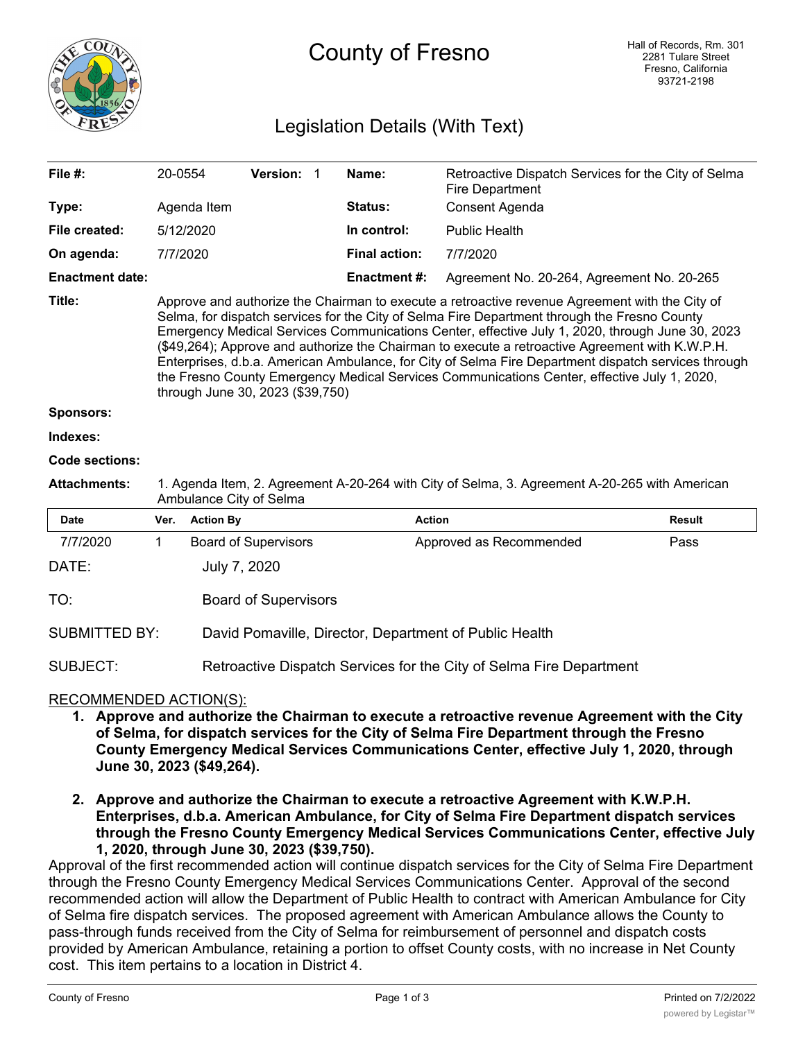

# Legislation Details (With Text)

| File #:                | 20-0554                                                                                                                                                                                                                                                                                                                                                                                                                                                                                                                                                                                                                                        |                  | Version: 1                  |  | Name:                | Retroactive Dispatch Services for the City of Selma<br><b>Fire Department</b> |               |  |
|------------------------|------------------------------------------------------------------------------------------------------------------------------------------------------------------------------------------------------------------------------------------------------------------------------------------------------------------------------------------------------------------------------------------------------------------------------------------------------------------------------------------------------------------------------------------------------------------------------------------------------------------------------------------------|------------------|-----------------------------|--|----------------------|-------------------------------------------------------------------------------|---------------|--|
| Type:                  | Agenda Item                                                                                                                                                                                                                                                                                                                                                                                                                                                                                                                                                                                                                                    |                  |                             |  | Status:              | Consent Agenda                                                                |               |  |
| File created:          | 5/12/2020                                                                                                                                                                                                                                                                                                                                                                                                                                                                                                                                                                                                                                      |                  |                             |  | In control:          | <b>Public Health</b>                                                          |               |  |
| On agenda:             | 7/7/2020                                                                                                                                                                                                                                                                                                                                                                                                                                                                                                                                                                                                                                       |                  |                             |  | <b>Final action:</b> | 7/7/2020                                                                      |               |  |
| <b>Enactment date:</b> |                                                                                                                                                                                                                                                                                                                                                                                                                                                                                                                                                                                                                                                |                  |                             |  | <b>Enactment #:</b>  | Agreement No. 20-264, Agreement No. 20-265                                    |               |  |
| Title:                 | Approve and authorize the Chairman to execute a retroactive revenue Agreement with the City of<br>Selma, for dispatch services for the City of Selma Fire Department through the Fresno County<br>Emergency Medical Services Communications Center, effective July 1, 2020, through June 30, 2023<br>(\$49,264); Approve and authorize the Chairman to execute a retroactive Agreement with K.W.P.H.<br>Enterprises, d.b.a. American Ambulance, for City of Selma Fire Department dispatch services through<br>the Fresno County Emergency Medical Services Communications Center, effective July 1, 2020,<br>through June 30, 2023 (\$39,750) |                  |                             |  |                      |                                                                               |               |  |
| <b>Sponsors:</b>       |                                                                                                                                                                                                                                                                                                                                                                                                                                                                                                                                                                                                                                                |                  |                             |  |                      |                                                                               |               |  |
| Indexes:               |                                                                                                                                                                                                                                                                                                                                                                                                                                                                                                                                                                                                                                                |                  |                             |  |                      |                                                                               |               |  |
| <b>Code sections:</b>  |                                                                                                                                                                                                                                                                                                                                                                                                                                                                                                                                                                                                                                                |                  |                             |  |                      |                                                                               |               |  |
| <b>Attachments:</b>    | 1. Agenda Item, 2. Agreement A-20-264 with City of Selma, 3. Agreement A-20-265 with American<br>Ambulance City of Selma                                                                                                                                                                                                                                                                                                                                                                                                                                                                                                                       |                  |                             |  |                      |                                                                               |               |  |
| <b>Date</b>            | Ver.                                                                                                                                                                                                                                                                                                                                                                                                                                                                                                                                                                                                                                           | <b>Action By</b> |                             |  | <b>Action</b>        |                                                                               | <b>Result</b> |  |
| 7/7/2020               | 1.                                                                                                                                                                                                                                                                                                                                                                                                                                                                                                                                                                                                                                             |                  | <b>Board of Supervisors</b> |  |                      | Approved as Recommended                                                       | Pass          |  |
| DATE:                  |                                                                                                                                                                                                                                                                                                                                                                                                                                                                                                                                                                                                                                                | July 7, 2020     |                             |  |                      |                                                                               |               |  |
| TO:                    |                                                                                                                                                                                                                                                                                                                                                                                                                                                                                                                                                                                                                                                |                  | <b>Board of Supervisors</b> |  |                      |                                                                               |               |  |
| <b>SUBMITTED BY:</b>   | David Pomaville, Director, Department of Public Health                                                                                                                                                                                                                                                                                                                                                                                                                                                                                                                                                                                         |                  |                             |  |                      |                                                                               |               |  |

SUBJECT: Retroactive Dispatch Services for the City of Selma Fire Department

# RECOMMENDED ACTION(S):

- **1. Approve and authorize the Chairman to execute a retroactive revenue Agreement with the City of Selma, for dispatch services for the City of Selma Fire Department through the Fresno County Emergency Medical Services Communications Center, effective July 1, 2020, through June 30, 2023 (\$49,264).**
- **2. Approve and authorize the Chairman to execute a retroactive Agreement with K.W.P.H. Enterprises, d.b.a. American Ambulance, for City of Selma Fire Department dispatch services through the Fresno County Emergency Medical Services Communications Center, effective July 1, 2020, through June 30, 2023 (\$39,750).**

Approval of the first recommended action will continue dispatch services for the City of Selma Fire Department through the Fresno County Emergency Medical Services Communications Center. Approval of the second recommended action will allow the Department of Public Health to contract with American Ambulance for City of Selma fire dispatch services. The proposed agreement with American Ambulance allows the County to pass-through funds received from the City of Selma for reimbursement of personnel and dispatch costs provided by American Ambulance, retaining a portion to offset County costs, with no increase in Net County cost. This item pertains to a location in District 4.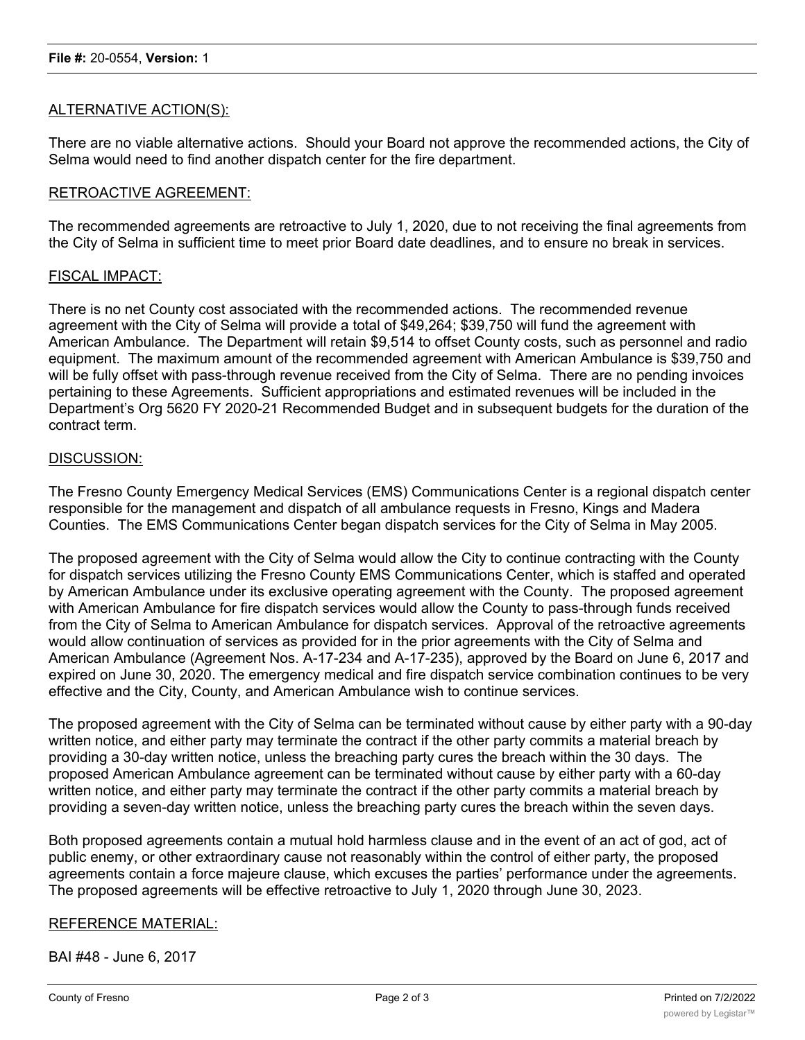## ALTERNATIVE ACTION(S):

There are no viable alternative actions. Should your Board not approve the recommended actions, the City of Selma would need to find another dispatch center for the fire department.

#### RETROACTIVE AGREEMENT:

The recommended agreements are retroactive to July 1, 2020, due to not receiving the final agreements from the City of Selma in sufficient time to meet prior Board date deadlines, and to ensure no break in services.

#### FISCAL IMPACT:

There is no net County cost associated with the recommended actions. The recommended revenue agreement with the City of Selma will provide a total of \$49,264; \$39,750 will fund the agreement with American Ambulance. The Department will retain \$9,514 to offset County costs, such as personnel and radio equipment. The maximum amount of the recommended agreement with American Ambulance is \$39,750 and will be fully offset with pass-through revenue received from the City of Selma. There are no pending invoices pertaining to these Agreements. Sufficient appropriations and estimated revenues will be included in the Department's Org 5620 FY 2020-21 Recommended Budget and in subsequent budgets for the duration of the contract term.

#### DISCUSSION:

The Fresno County Emergency Medical Services (EMS) Communications Center is a regional dispatch center responsible for the management and dispatch of all ambulance requests in Fresno, Kings and Madera Counties. The EMS Communications Center began dispatch services for the City of Selma in May 2005.

The proposed agreement with the City of Selma would allow the City to continue contracting with the County for dispatch services utilizing the Fresno County EMS Communications Center, which is staffed and operated by American Ambulance under its exclusive operating agreement with the County. The proposed agreement with American Ambulance for fire dispatch services would allow the County to pass-through funds received from the City of Selma to American Ambulance for dispatch services. Approval of the retroactive agreements would allow continuation of services as provided for in the prior agreements with the City of Selma and American Ambulance (Agreement Nos. A-17-234 and A-17-235), approved by the Board on June 6, 2017 and expired on June 30, 2020. The emergency medical and fire dispatch service combination continues to be very effective and the City, County, and American Ambulance wish to continue services.

The proposed agreement with the City of Selma can be terminated without cause by either party with a 90-day written notice, and either party may terminate the contract if the other party commits a material breach by providing a 30-day written notice, unless the breaching party cures the breach within the 30 days. The proposed American Ambulance agreement can be terminated without cause by either party with a 60-day written notice, and either party may terminate the contract if the other party commits a material breach by providing a seven-day written notice, unless the breaching party cures the breach within the seven days.

Both proposed agreements contain a mutual hold harmless clause and in the event of an act of god, act of public enemy, or other extraordinary cause not reasonably within the control of either party, the proposed agreements contain a force majeure clause, which excuses the parties' performance under the agreements. The proposed agreements will be effective retroactive to July 1, 2020 through June 30, 2023.

## REFERENCE MATERIAL:

BAI #48 - June 6, 2017